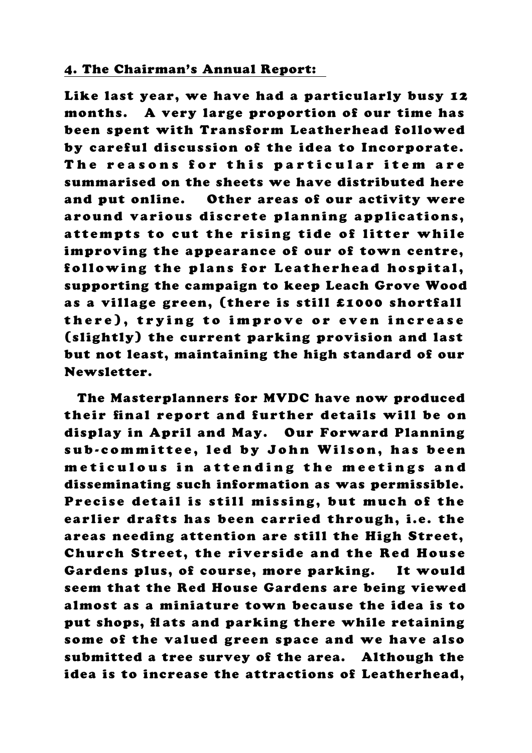## 4. The Chairman's Annual Report:

Like last year, we have had a particularly busy 12 months. A very large proportion of our time has been spent with Transform Leatherhead followed by careful discussion of the idea to Incorporate. The reasons for this particular item are summarised on the sheets we have distributed here and put online. Other areas of our activity were around various discrete planning applications, attempts to cut the rising tide of litter while improving the appearance of our of town centre, following the plans for Leatherhead hospital, supporting the campaign to keep Leach Grove Wood as a village green, (there is still £1000 shortfall there), trying to improve or even increase (slightly) the current parking provision and last but not least, maintaining the high standard of our Newsletter.

 The Masterplanners for MVDC have now produced their final report and further details will be on display in April and May. Our Forward Planning sub-committee, led by John Wilson, has been meticulous in attending the meetings and disseminating such information as was permissible. Precise detail is still missing, but much of the earlier drafts has been carried through, i.e. the areas needing attention are still the High Street, Church Street, the riverside and the Red House Gardens plus, of course, more parking. It would seem that the Red House Gardens are being viewed almost as a miniature town because the idea is to put shops, flats and parking there while retaining some of the valued green space and we have also submitted a tree survey of the area. Although the idea is to increase the attractions of Leatherhead,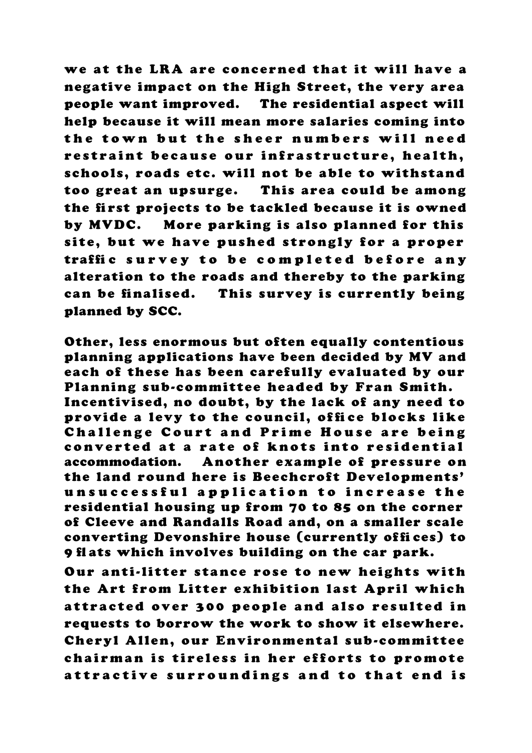we at the LRA are concerned that it will have a negative impact on the High Street, the very area people want improved. The residential aspect will help because it will mean more salaries coming into the town but the sheer numbers will need restraint because our infrastructure, health, schools, roads etc. will not be able to withstand too great an upsurge. This area could be among the first projects to be tackled because it is owned by MVDC. More parking is also planned for this site, but we have pushed strongly for a proper traffic survey to be completed before any alteration to the roads and thereby to the parking can be finalised. This survey is currently being planned by SCC.

Other, less enormous but often equally contentious planning applications have been decided by MV and each of these has been carefully evaluated by our Planning sub-committee headed by Fran Smith. Incentivised, no doubt, by the lack of any need to provide a levy to the council, office blocks like Challenge Court and Prime House are being converted at a rate of knots into residential accommodation. Another example of pressure on the land round here is Beechcroft Developments' unsuccessful application to increase the residential housing up from 70 to 85 on the corner of Cleeve and Randalls Road and, on a smaller scale converting Devonshire house (currently offices) to 9 flats which involves building on the car park.

Our anti-litter stance rose to new heights with the Art from Litter exhibition last April which attracted over 300 people and also resulted in requests to borrow the work to show it elsewhere. Cheryl Allen, our Environmental sub-committee chairman is tireless in her efforts to promote attractive surroundings and to that end is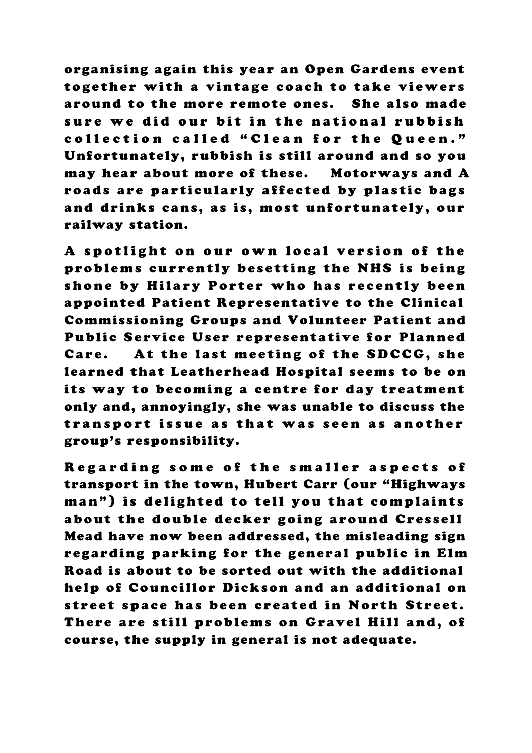organising again this year an Open Gardens event together with a vintage coach to take viewers around to the more remote ones. She also made sure we did our bit in the national rubbish collection called "Clean for the Queen." Unfortunately, rubbish is still around and so you may hear about more of these. Motorways and A roads are particularly affected by plastic bags and drinks cans, as is, most unfortunately, our railway station.

A spotlight on our own local version of the problems currently besetting the NHS is being shone by Hilary Porter who has recently been appointed Patient Representative to the Clinical Commissioning Groups and Volunteer Patient and Public Service User representative for Planned Care. At the last meeting of the SDCCG, she learned that Leatherhead Hospital seems to be on its way to becoming a centre for day treatment only and, annoyingly, she was unable to discuss the transport issue as that was seen as another group's responsibility.

Regarding some of the smaller aspects of transport in the town, Hubert Carr (our "Highways man") is delighted to tell you that complaints about the double decker going around Cressell Mead have now been addressed, the misleading sign regarding parking for the general public in Elm Road is about to be sorted out with the additional help of Councillor Dickson and an additional on street space has been created in North Street. There are still problems on Gravel Hill and, of course, the supply in general is not adequate.